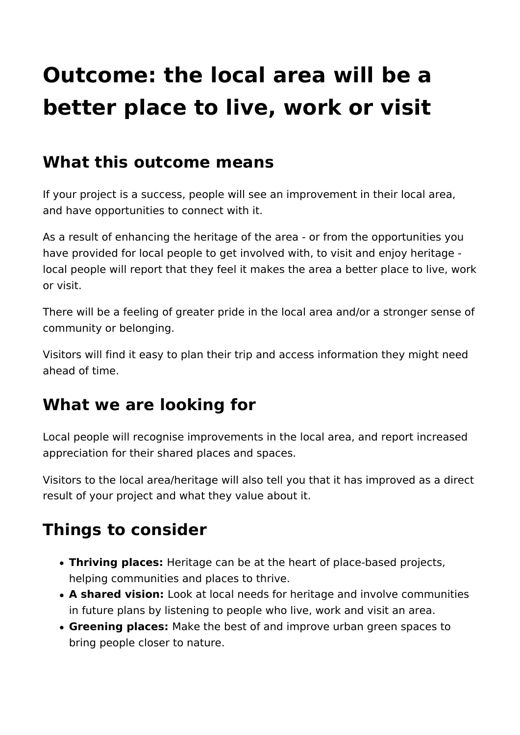# **Outcome: the local area will be a better place to live, work or visit**

#### **What this outcome means**

If your project is a success, people will see an improvement in their local area, and have opportunities to connect with it.

As a result of enhancing the heritage of the area - or from the opportunities you have provided for local people to get involved with, to visit and enjoy heritage local people will report that they feel it makes the area a better place to live, work or visit.

There will be a feeling of greater pride in the local area and/or a stronger sense of community or belonging.

Visitors will find it easy to plan their trip and access information they might need ahead of time.

### **What we are looking for**

Local people will recognise improvements in the local area, and report increased appreciation for their shared places and spaces.

Visitors to the local area/heritage will also tell you that it has improved as a direct result of your project and what they value about it.

## **Things to consider**

- **Thriving places:** Heritage can be at the heart of place-based projects, helping communities and places to thrive.
- **A shared vision:** Look at local needs for heritage and involve communities in future plans by listening to people who live, work and visit an area.
- **Greening places:** Make the best of and improve urban green spaces to bring people closer to nature.